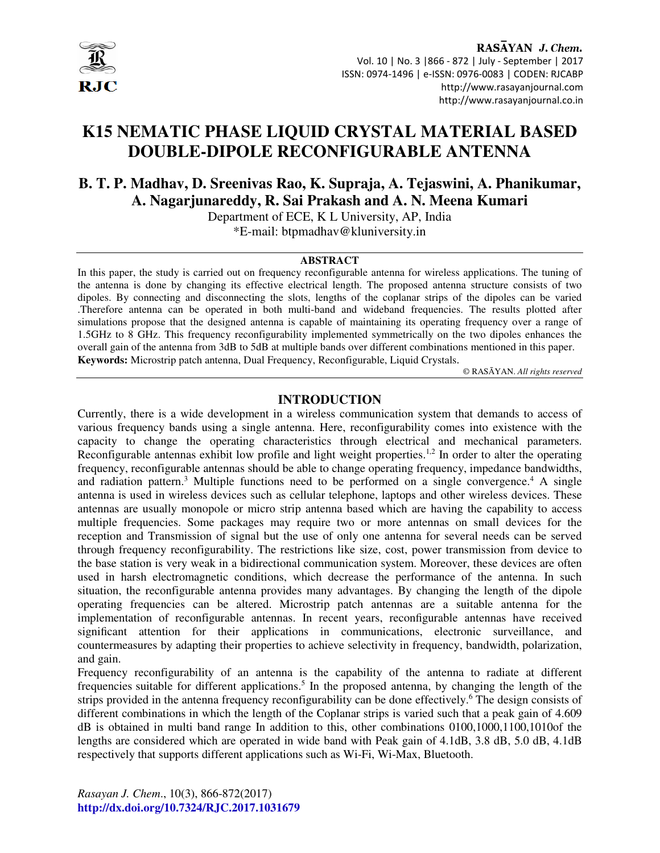

# **K15 NEMATIC PHASE LIQUID CRYSTAL MATERIAL BASED DOUBLE-DIPOLE RECONFIGURABLE ANTENNA**

## **B. T. P. Madhav, D. Sreenivas Rao, K. Supraja, A. Tejaswini, A. Phanikumar, A. Nagarjunareddy, R. Sai Prakash and A. N. Meena Kumari**

Department of ECE, K L University, AP, India \*E-mail: btpmadhav@kluniversity.in

#### **ABSTRACT**

In this paper, the study is carried out on frequency reconfigurable antenna for wireless applications. The tuning of the antenna is done by changing its effective electrical length. The proposed antenna structure consists of two dipoles. By connecting and disconnecting the slots, lengths of the coplanar strips of the dipoles can be varied .Therefore antenna can be operated in both multi-band and wideband frequencies. The results plotted after simulations propose that the designed antenna is capable of maintaining its operating frequency over a range of 1.5GHz to 8 GHz. This frequency reconfigurability implemented symmetrically on the two dipoles enhances the overall gain of the antenna from 3dB to 5dB at multiple bands over different combinations mentioned in this paper. **Keywords:** Microstrip patch antenna, Dual Frequency, Reconfigurable, Liquid Crystals.

© RASĀYAN. *All rights reserved*

#### **INTRODUCTION**

Currently, there is a wide development in a wireless communication system that demands to access of various frequency bands using a single antenna. Here, reconfigurability comes into existence with the capacity to change the operating characteristics through electrical and mechanical parameters. Reconfigurable antennas exhibit low profile and light weight properties.<sup>1,2</sup> In order to alter the operating frequency, reconfigurable antennas should be able to change operating frequency, impedance bandwidths, and radiation pattern.<sup>3</sup> Multiple functions need to be performed on a single convergence.<sup>4</sup> A single antenna is used in wireless devices such as cellular telephone, laptops and other wireless devices. These antennas are usually monopole or micro strip antenna based which are having the capability to access multiple frequencies. Some packages may require two or more antennas on small devices for the reception and Transmission of signal but the use of only one antenna for several needs can be served through frequency reconfigurability. The restrictions like size, cost, power transmission from device to the base station is very weak in a bidirectional communication system. Moreover, these devices are often used in harsh electromagnetic conditions, which decrease the performance of the antenna. In such situation, the reconfigurable antenna provides many advantages. By changing the length of the dipole operating frequencies can be altered. Microstrip patch antennas are a suitable antenna for the implementation of reconfigurable antennas. In recent years, reconfigurable antennas have received significant attention for their applications in communications, electronic surveillance, and countermeasures by adapting their properties to achieve selectivity in frequency, bandwidth, polarization, and gain.

Frequency reconfigurability of an antenna is the capability of the antenna to radiate at different frequencies suitable for different applications.<sup>5</sup> In the proposed antenna, by changing the length of the strips provided in the antenna frequency reconfigurability can be done effectively.<sup>6</sup> The design consists of different combinations in which the length of the Coplanar strips is varied such that a peak gain of 4.609 dB is obtained in multi band range In addition to this, other combinations 0100,1000,1100,1010of the lengths are considered which are operated in wide band with Peak gain of 4.1dB, 3.8 dB, 5.0 dB, 4.1dB respectively that supports different applications such as Wi-Fi, Wi-Max, Bluetooth.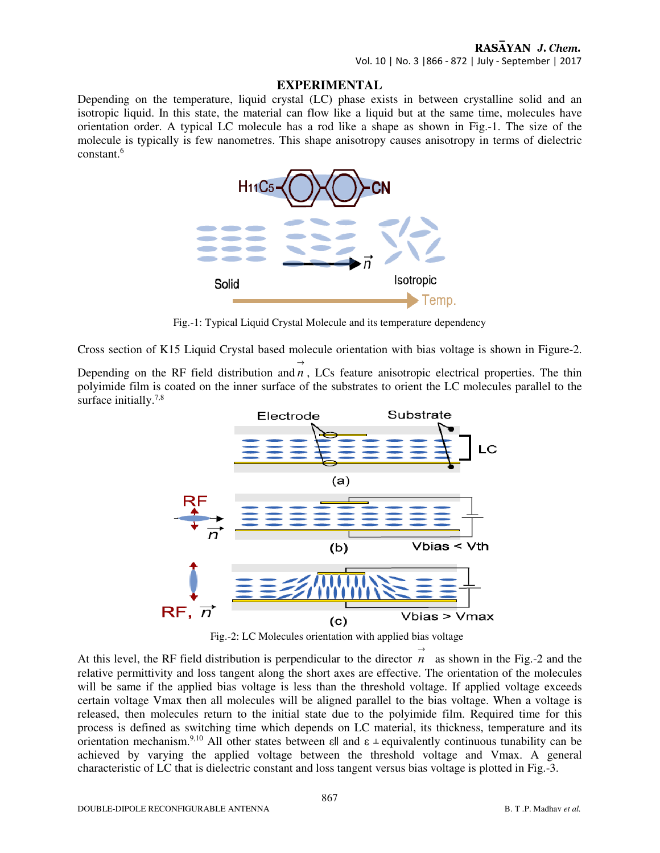## RASAYAN J. Chem.

Vol. 10 | No. 3 |866 - 872 | July - September | 2017

#### **EXPERIMENTAL**

Depending on the temperature, liquid crystal (LC) phase exists in between crystalline solid and an isotropic liquid. In this state, the material can flow like a liquid but at the same time, molecules have orientation order. A typical LC molecule has a rod like a shape as shown in Fig.-1. The size of the molecule is typically is few nanometres. This shape anisotropy causes anisotropy in terms of dielectric constant.<sup>6</sup>



Fig.-1: Typical Liquid Crystal Molecule and its temperature dependency

Cross section of K15 Liquid Crystal based molecule orientation with bias voltage is shown in Figure-2.

Depending on the RF field distribution and *n* , LCs feature anisotropic electrical properties. The thin  $\rightarrow$ polyimide film is coated on the inner surface of the substrates to orient the LC molecules parallel to the surface initially.<sup>7,8</sup>



Fig.-2: LC Molecules orientation with applied bias voltage

 $\rightarrow$ 

At this level, the RF field distribution is perpendicular to the director  $n$  as shown in the Fig.-2 and the relative permittivity and loss tangent along the short axes are effective. The orientation of the molecules will be same if the applied bias voltage is less than the threshold voltage. If applied voltage exceeds certain voltage Vmax then all molecules will be aligned parallel to the bias voltage. When a voltage is released, then molecules return to the initial state due to the polyimide film. Required time for this process is defined as switching time which depends on LC material, its thickness, temperature and its orientation mechanism.<sup>9,10</sup> All other states between  $\epsilon \parallel$  and  $\epsilon \perp$  equivalently continuous tunability can be achieved by varying the applied voltage between the threshold voltage and Vmax. A general characteristic of LC that is dielectric constant and loss tangent versus bias voltage is plotted in Fig.-3.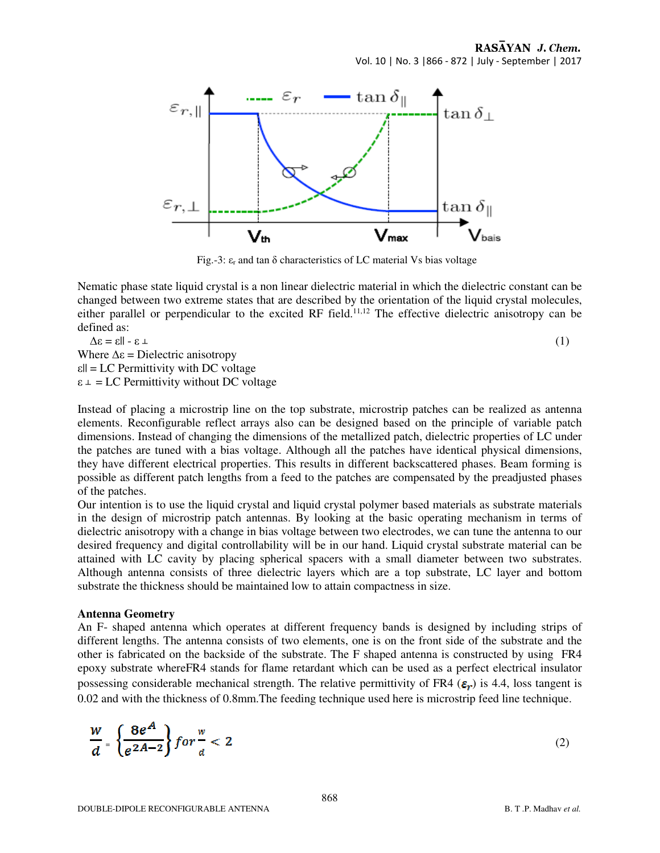RASAYAN J. Chem. Vol. 10 | No. 3 |866 - 872 | July - September | 2017



Fig.-3:  $\varepsilon_r$  and tan  $\delta$  characteristics of LC material Vs bias voltage

Nematic phase state liquid crystal is a non linear dielectric material in which the dielectric constant can be changed between two extreme states that are described by the orientation of the liquid crystal molecules, either parallel or perpendicular to the excited RF field.<sup>11,12</sup> The effective dielectric anisotropy can be defined as:

$$
\Delta \varepsilon = \varepsilon || - \varepsilon \perp
$$
\nWhere  $\Delta \varepsilon$  = Dielectric anisotropy

\n
$$
\varepsilon || = LC Permittivity with DC voltage
$$
\n
$$
\varepsilon \perp = LC Permittivity without DC voltage
$$
\n(1)

Instead of placing a microstrip line on the top substrate, microstrip patches can be realized as antenna elements. Reconfigurable reflect arrays also can be designed based on the principle of variable patch dimensions. Instead of changing the dimensions of the metallized patch, dielectric properties of LC under the patches are tuned with a bias voltage. Although all the patches have identical physical dimensions, they have different electrical properties. This results in different backscattered phases. Beam forming is possible as different patch lengths from a feed to the patches are compensated by the preadjusted phases of the patches.

Our intention is to use the liquid crystal and liquid crystal polymer based materials as substrate materials in the design of microstrip patch antennas. By looking at the basic operating mechanism in terms of dielectric anisotropy with a change in bias voltage between two electrodes, we can tune the antenna to our desired frequency and digital controllability will be in our hand. Liquid crystal substrate material can be attained with LC cavity by placing spherical spacers with a small diameter between two substrates. Although antenna consists of three dielectric layers which are a top substrate, LC layer and bottom substrate the thickness should be maintained low to attain compactness in size.

#### **Antenna Geometry**

An F- shaped antenna which operates at different frequency bands is designed by including strips of different lengths. The antenna consists of two elements, one is on the front side of the substrate and the other is fabricated on the backside of the substrate. The F shaped antenna is constructed by using FR4 epoxy substrate whereFR4 stands for flame retardant which can be used as a perfect electrical insulator possessing considerable mechanical strength. The relative permittivity of FR4 ( $\varepsilon_r$ ) is 4.4, loss tangent is 0.02 and with the thickness of 0.8mm.The feeding technique used here is microstrip feed line technique.

$$
\frac{w}{d} = \left\{ \frac{8e^A}{e^{2A-2}} \right\} for \frac{w}{d} < 2 \tag{2}
$$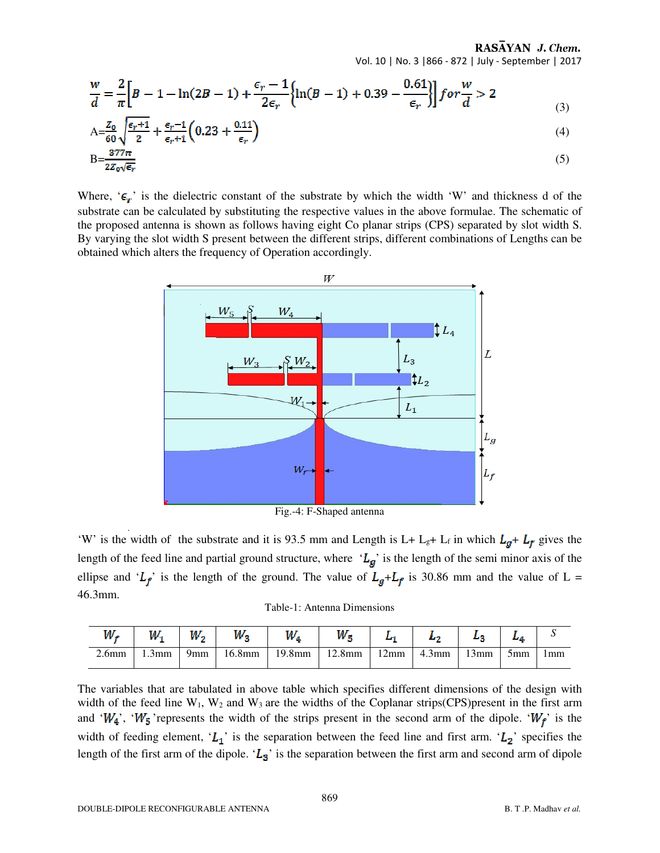RASAYAN J. Chem. Vol. 10 | No. 3 |866 - 872 | July - September | 2017

$$
\frac{w}{d} = \frac{2}{\pi} \Big[ B - 1 - \ln(2B - 1) + \frac{\epsilon_r - 1}{2\epsilon_r} \Big\{ \ln(B - 1) + 0.39 - \frac{0.61}{\epsilon_r} \Big\} \Big] \text{ for } \frac{w}{d} > 2
$$
\n<sup>(3)</sup>

$$
A = \frac{Z_0}{60} \sqrt{\frac{\epsilon_r + 1}{2}} + \frac{\epsilon_r - 1}{\epsilon_r + 1} \left( 0.23 + \frac{0.11}{\epsilon_r} \right) \tag{4}
$$

$$
B = \frac{377\pi}{2z_0\sqrt{\epsilon_r}}\tag{5}
$$

Where, ' $\epsilon_{r}$ ' is the dielectric constant of the substrate by which the width 'W' and thickness d of the substrate can be calculated by substituting the respective values in the above formulae. The schematic of the proposed antenna is shown as follows having eight Co planar strips (CPS) separated by slot width S. By varying the slot width S present between the different strips, different combinations of Lengths can be obtained which alters the frequency of Operation accordingly.



Fig.-4: F-Shaped antenna

'W' is the width of the substrate and it is 93.5 mm and Length is L+ L<sub>g</sub>+ L<sub>f</sub> in which  $L_g + L_f$  gives the length of the feed line and partial ground structure, where ' $L_g$ ' is the length of the semi minor axis of the ellipse and ' $L_f$ ' is the length of the ground. The value of  $L_g + L_f$  is 30.86 mm and the value of L = 46.3mm.

Table-1: Antenna Dimensions

| w.                | w        | W., | W.,       | $W_{4}$ | W.        |                |          |      |     |     |
|-------------------|----------|-----|-----------|---------|-----------|----------------|----------|------|-----|-----|
| 2.6 <sub>mm</sub> | $1.3$ mm | 9mm | $16.8$ mm | 19.8mm  | $12.8$ mm | $12 \text{mm}$ | $4.3$ mm | 13mm | 5mm | 1mm |

The variables that are tabulated in above table which specifies different dimensions of the design with width of the feed line  $W_1$ ,  $W_2$  and  $W_3$  are the widths of the Coplanar strips(CPS)present in the first arm and ' $W_4$ ', ' $W_5$ ' represents the width of the strips present in the second arm of the dipole. ' $W_f$ ' is the width of feeding element, ' $L_1$ ' is the separation between the feed line and first arm. ' $L_2$ ' specifies the length of the first arm of the dipole. ' $L_3$ ' is the separation between the first arm and second arm of dipole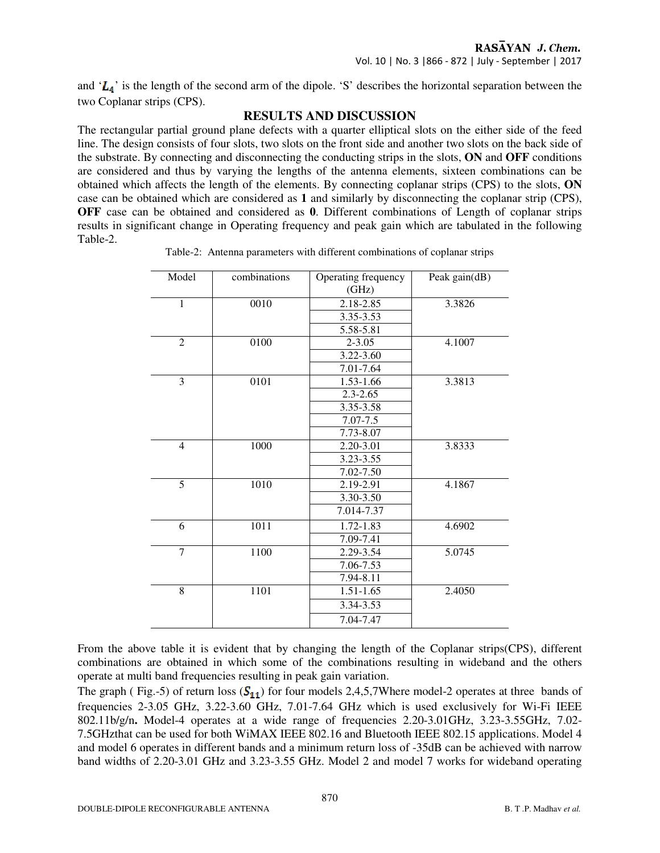and ' $L_4$ ' is the length of the second arm of the dipole. 'S' describes the horizontal separation between the two Coplanar strips (CPS).

## **RESULTS AND DISCUSSION**

The rectangular partial ground plane defects with a quarter elliptical slots on the either side of the feed line. The design consists of four slots, two slots on the front side and another two slots on the back side of the substrate. By connecting and disconnecting the conducting strips in the slots, **ON** and **OFF** conditions are considered and thus by varying the lengths of the antenna elements, sixteen combinations can be obtained which affects the length of the elements. By connecting coplanar strips (CPS) to the slots, **ON**  case can be obtained which are considered as **1** and similarly by disconnecting the coplanar strip (CPS), **OFF** case can be obtained and considered as **0**. Different combinations of Length of coplanar strips results in significant change in Operating frequency and peak gain which are tabulated in the following Table-2.

|  |  | Table-2: Antenna parameters with different combinations of coplanar strips |  |  |
|--|--|----------------------------------------------------------------------------|--|--|
|  |  |                                                                            |  |  |

| Model          | combinations | Operating frequency | Peak gain(dB) |  |
|----------------|--------------|---------------------|---------------|--|
|                |              | (GHz)               |               |  |
| $\mathbf{1}$   | 0010         | 2.18-2.85           | 3.3826        |  |
|                |              | 3.35-3.53           |               |  |
|                |              | 5.58-5.81           |               |  |
| $\overline{2}$ | 0100         | $2 - 3.05$          | 4.1007        |  |
|                |              | $3.22 - 3.60$       |               |  |
|                |              | 7.01-7.64           |               |  |
| 3              | 0101         | 1.53-1.66           | 3.3813        |  |
|                |              | $2.3 - 2.65$        |               |  |
|                |              | 3.35-3.58           |               |  |
|                |              | 7.07-7.5            |               |  |
|                |              | 7.73-8.07           |               |  |
| $\overline{4}$ | 1000         | $2.20 - 3.01$       | 3.8333        |  |
|                |              | 3.23-3.55           |               |  |
|                |              | 7.02-7.50           |               |  |
| $\overline{5}$ | 1010         | 2.19-2.91           | 4.1867        |  |
|                |              | 3.30-3.50           |               |  |
|                |              | 7.014-7.37          |               |  |
| 6              | 1011         | 1.72-1.83           | 4.6902        |  |
|                |              | 7.09-7.41           |               |  |
| $\overline{7}$ | 1100         | 2.29-3.54           | 5.0745        |  |
|                |              | 7.06-7.53           |               |  |
|                |              | 7.94-8.11           |               |  |
| $\overline{8}$ | 1101         | $1.51 - 1.65$       | 2.4050        |  |
|                |              | 3.34-3.53           |               |  |
|                |              | 7.04-7.47           |               |  |

From the above table it is evident that by changing the length of the Coplanar strips(CPS), different combinations are obtained in which some of the combinations resulting in wideband and the others operate at multi band frequencies resulting in peak gain variation.

The graph (Fig.-5) of return loss  $(S_{11})$  for four models 2,4,5,7Where model-2 operates at three bands of frequencies 2-3.05 GHz, 3.22-3.60 GHz, 7.01-7.64 GHz which is used exclusively for Wi-Fi IEEE 802.11b/g/n**.** Model-4 operates at a wide range of frequencies 2.20-3.01GHz, 3.23-3.55GHz, 7.02- 7.5GHzthat can be used for both WiMAX IEEE 802.16 and Bluetooth IEEE 802.15 applications. Model 4 and model 6 operates in different bands and a minimum return loss of -35dB can be achieved with narrow band widths of 2.20-3.01 GHz and 3.23-3.55 GHz. Model 2 and model 7 works for wideband operating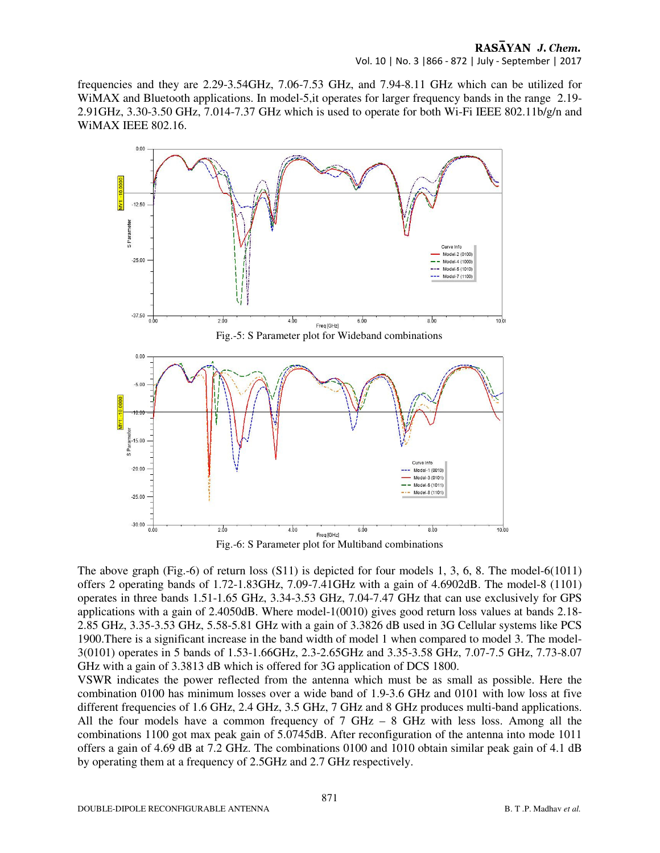frequencies and they are 2.29-3.54GHz, 7.06-7.53 GHz, and 7.94-8.11 GHz which can be utilized for WiMAX and Bluetooth applications. In model-5, it operates for larger frequency bands in the range 2.19-2.91GHz, 3.30-3.50 GHz, 7.014-7.37 GHz which is used to operate for both Wi-Fi IEEE 802.11b/g/n and WiMAX IEEE 802.16.



The above graph (Fig.-6) of return loss  $(S11)$  is depicted for four models 1, 3, 6, 8. The model-6(1011) offers 2 operating bands of 1.72-1.83GHz, 7.09-7.41GHz with a gain of 4.6902dB. The model-8 (1101) operates in three bands 1.51-1.65 GHz, 3.34-3.53 GHz, 7.04-7.47 GHz that can use exclusively for GPS applications with a gain of 2.4050dB. Where model-1(0010) gives good return loss values at bands 2.18- 2.85 GHz, 3.35-3.53 GHz, 5.58-5.81 GHz with a gain of 3.3826 dB used in 3G Cellular systems like PCS 1900.There is a significant increase in the band width of model 1 when compared to model 3. The model-3(0101) operates in 5 bands of 1.53-1.66GHz, 2.3-2.65GHz and 3.35-3.58 GHz, 7.07-7.5 GHz, 7.73-8.07 GHz with a gain of 3.3813 dB which is offered for 3G application of DCS 1800.

VSWR indicates the power reflected from the antenna which must be as small as possible. Here the combination 0100 has minimum losses over a wide band of 1.9-3.6 GHz and 0101 with low loss at five different frequencies of 1.6 GHz, 2.4 GHz, 3.5 GHz, 7 GHz and 8 GHz produces multi-band applications. All the four models have a common frequency of  $7 \text{ GHz} - 8 \text{ GHz}$  with less loss. Among all the combinations 1100 got max peak gain of 5.0745dB. After reconfiguration of the antenna into mode 1011 offers a gain of 4.69 dB at 7.2 GHz. The combinations 0100 and 1010 obtain similar peak gain of 4.1 dB by operating them at a frequency of 2.5GHz and 2.7 GHz respectively.